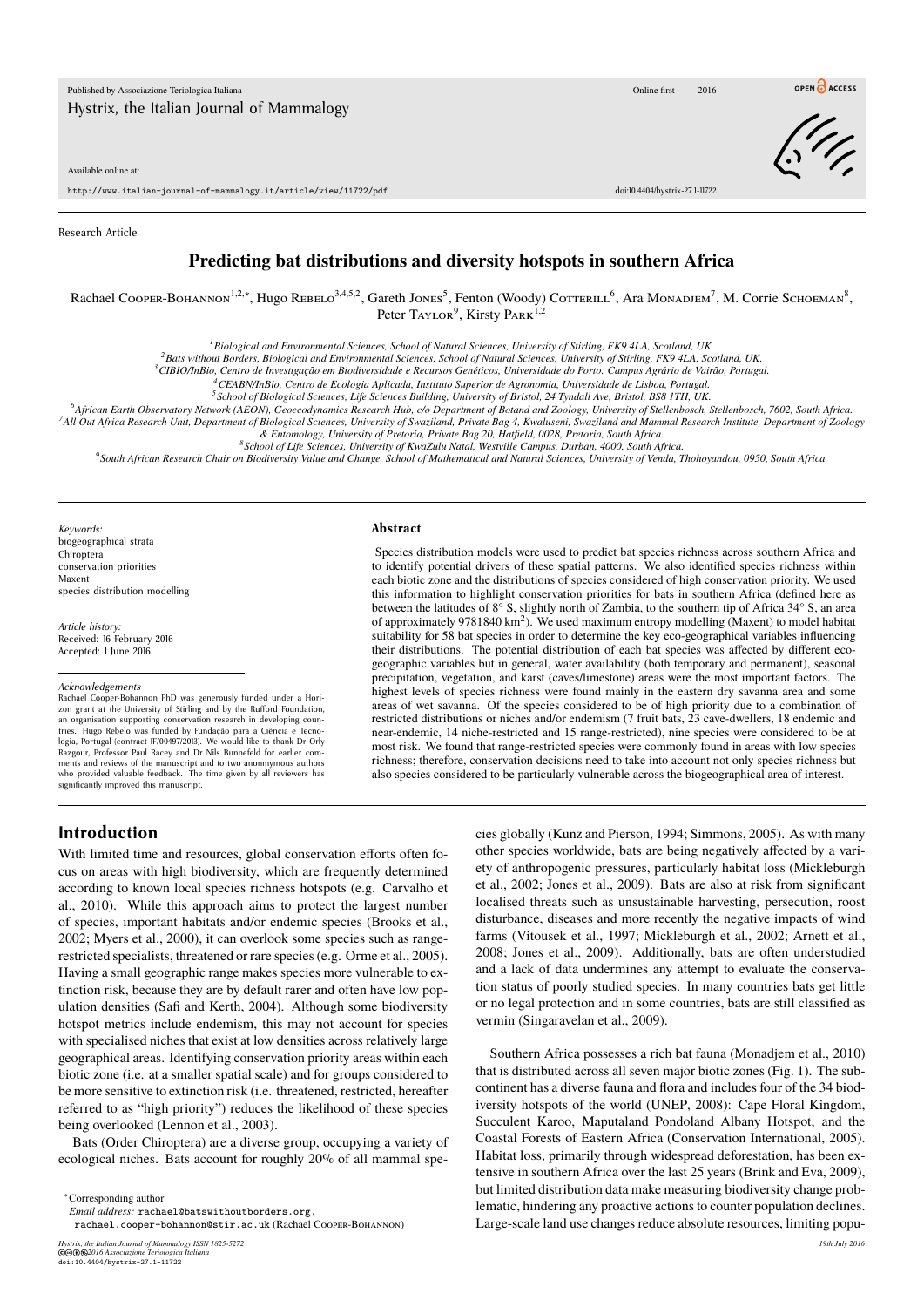Available online at:

http://www.italian-journal-of-mammalogy.it/article/view/11722/pdf doi:10.4404/hystrix-27.1-11722

Research Article

## **Predicting bat distributions and diversity hotspots in southern Africa**

Rachael Соорев-Вонаммом<sup>1,2,∗</sup>, Hugo Rевеlо<sup>3,4,5,2</sup>, Gareth Jones<sup>5</sup>, Fenton (Woody) Соттевиll <sup>6</sup>, Ara Момарлем<sup>7</sup>, M. Corrie Sсноемам<sup>8</sup>, Peter Taylor<sup>9</sup>, Kirsty Park<sup>1,2</sup>

*<sup>1</sup>Biological and Environmental Sciences, School of Natural Sciences, University of Stirling, FK9 4LA, Scotland, UK.*

*<sup>2</sup>Bats without Borders, Biological and Environmental Sciences, School of Natural Sciences, University of Stirling, FK9 4LA, Scotland, UK.*

*<sup>3</sup>CIBIO/InBio, Centro de Investigação em Biodiversidade e Recursos Genéticos, Universidade do Porto. Campus Agrário de Vairão, Portugal.*

*<sup>4</sup>CEABN/InBio, Centro de Ecologia Aplicada, Instituto Superior de Agronomia, Universidade de Lisboa, Portugal.*

*5 School of Biological Sciences, Life Sciences Building, University of Bristol, 24 Tyndall Ave, Bristol, BS8 1TH, UK.*

*<sup>6</sup>African Earth Observatory Network (AEON), Geoecodynamics Research Hub, c/o Department of Botand and Zoology, University of Stellenbosch, Stellenbosch, 7602, South Africa.*

*<sup>7</sup>All Out Africa Research Unit, Department of Biological Sciences, University of Swaziland, Private Bag 4, Kwaluseni, Swaziland and Mammal Research Institute, Department of Zoology & Entomology, University of Pretoria, Private Bag 20, Hatfield, 0028, Pretoria, South Africa.*

*8 School of Life Sciences, University of KwaZulu Natal, Westville Campus, Durban, 4000, South Africa.*

*9 South African Research Chair on Biodiversity Value and Change, School of Mathematical and Natural Sciences, University of Venda, Thohoyandou, 0950, South Africa.*

*Keywords:* biogeographical strata Chiroptera conservation priorities Maxent species distribution modelling

*Article history:* Received: 16 February 2016 Accepted: 1 June 2016

#### *Acknowledgements*

Rachael Cooper-Bohannon PhD was generously funded under a Horizon grant at the University of Stirling and by the Rufford Foundation,<br>an organisation supporting conservation research in developing countries. Hugo Rebelo was funded by Fundação para a Ciência e Tecno-logia, Portugal (contract IF/00497/2013). We would like to thank Dr Orly Razgour, Professor Paul Racey and Dr Nils Bunnefeld for earlier com-ments and reviews of the manuscript and to two anonmymous authors who provided valuable feedback. The time given by all reviewers has significantly improved this manuscript.

#### **Abstract**

Species distribution models were used to predict bat species richness across southern Africa and to identify potential drivers of these spatial patterns. We also identified species richness within each biotic zone and the distributions of species considered of high conservation priority. We used this information to highlight conservation priorities for bats in southern Africa (defined here as between the latitudes of 8° S, slightly north of Zambia, to the southern tip of Africa 34° S, an area of approximately 9781840 km<sup>2</sup>). We used maximum entropy modelling (Maxent) to model habitat suitability for 58 bat species in order to determine the key eco-geographical variables influencing their distributions. The potential distribution of each bat species was affected by different ecogeographic variables but in general, water availability (both temporary and permanent), seasonal precipitation, vegetation, and karst (caves/limestone) areas were the most important factors. The highest levels of species richness were found mainly in the eastern dry savanna area and some areas of wet savanna. Of the species considered to be of high priority due to a combination of restricted distributions or niches and/or endemism (7 fruit bats, 23 cave-dwellers, 18 endemic and near-endemic, 14 niche-restricted and 15 range-restricted), nine species were considered to be at most risk. We found that range-restricted species were commonly found in areas with low species richness; therefore, conservation decisions need to take into account not only species richness but also species considered to be particularly vulnerable across the biogeographical area of interest.

### **Introduction**

With limited time and resources, global conservation efforts often focus on areas with high biodiversity, which are frequently determined according to known local species richness hotspots (e.g. Carvalho et al., 2010). While this approach aims to protect the largest number of species, important habitats and/or endemic species (Brooks et al., 2002; Myers et al., 2000), it can overlook some species such as rangerestricted specialists, threatened or rare species (e.g. Orme et al., 2005). Having a small geographic range makes species more vulnerable to extinction risk, because they are by default rarer and often have low population densities (Safi and Kerth, 2004). Although some biodiversity hotspot metrics include endemism, this may not account for species with specialised niches that exist at low densities across relatively large geographical areas. Identifying conservation priority areas within each biotic zone (i.e. at a smaller spatial scale) and for groups considered to be more sensitive to extinction risk (i.e. threatened, restricted, hereafter referred to as "high priority") reduces the likelihood of these species being overlooked (Lennon et al., 2003).

Bats (Order Chiroptera) are a diverse group, occupying a variety of ecological niches. Bats account for roughly 20% of all mammal spe-

<sup>∗</sup>Corresponding author

*Email address:* rachael@batswithoutborders.org, rachael.cooper-bohannon@stir.ac.uk (Rachael Cooper-Bohannon)

*Hystrix, the Italian Journal of Mammalogy ISSN 1825-5272 19th July 2016* ©cbe*2016 Associazione Teriologica Italiana* doi:10.4404/hystrix-27.1-11722

cies globally (Kunz and Pierson, 1994; Simmons, 2005). As with many other species worldwide, bats are being negatively affected by a variety of anthropogenic pressures, particularly habitat loss (Mickleburgh et al., 2002; Jones et al., 2009). Bats are also at risk from significant localised threats such as unsustainable harvesting, persecution, roost disturbance, diseases and more recently the negative impacts of wind farms (Vitousek et al., 1997; Mickleburgh et al., 2002; Arnett et al., 2008; Jones et al., 2009). Additionally, bats are often understudied and a lack of data undermines any attempt to evaluate the conservation status of poorly studied species. In many countries bats get little or no legal protection and in some countries, bats are still classified as vermin (Singaravelan et al., 2009).

Southern Africa possesses a rich bat fauna (Monadjem et al., 2010) that is distributed across all seven major biotic zones (Fig. 1). The subcontinent has a diverse fauna and flora and includes four of the 34 biodiversity hotspots of the world (UNEP, 2008): Cape Floral Kingdom, Succulent Karoo, Maputaland Pondoland Albany Hotspot, and the Coastal Forests of Eastern Africa (Conservation International, 2005). Habitat loss, primarily through widespread deforestation, has been extensive in southern Africa over the last 25 years (Brink and Eva, 2009), but limited distribution data make measuring biodiversity change problematic, hindering any proactive actions to counter population declines. Large-scale land use changes reduce absolute resources, limiting popu-



OPEN CACCESS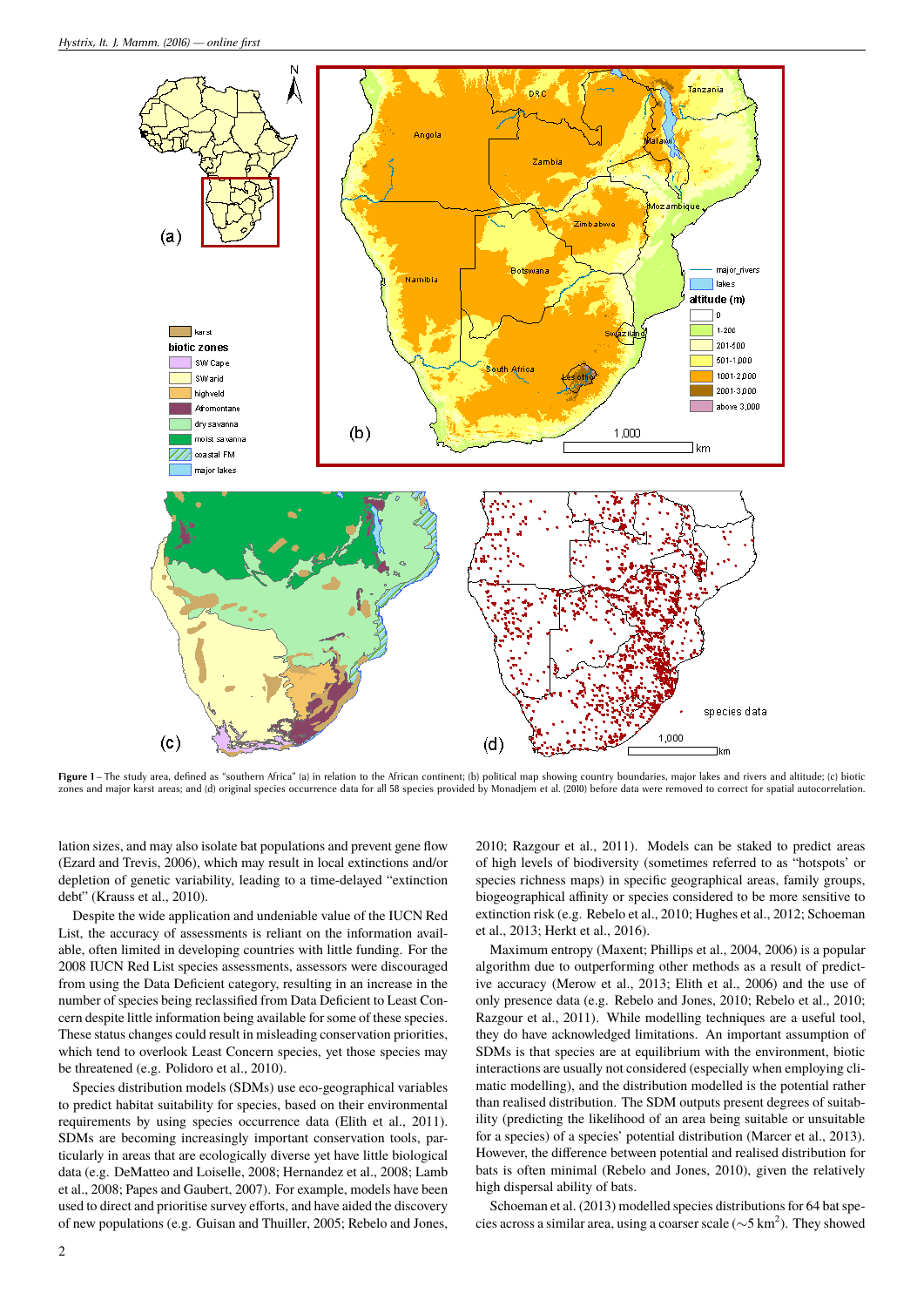

**Figure 1**–The study area, defined as "southern Africa" (a) in relation to the African continent; (b) political map showing country boundaries, major lakes and rivers and altitude; (c) biotic<br>zones and major karst areas; a

lation sizes, and may also isolate bat populations and prevent gene flow (Ezard and Trevis, 2006), which may result in local extinctions and/or depletion of genetic variability, leading to a time-delayed "extinction debt" (Krauss et al., 2010).

Despite the wide application and undeniable value of the IUCN Red List, the accuracy of assessments is reliant on the information available, often limited in developing countries with little funding. For the 2008 IUCN Red List species assessments, assessors were discouraged from using the Data Deficient category, resulting in an increase in the number of species being reclassified from Data Deficient to Least Concern despite little information being available for some of these species. These status changes could result in misleading conservation priorities, which tend to overlook Least Concern species, yet those species may be threatened (e.g. Polidoro et al., 2010).

Species distribution models (SDMs) use eco-geographical variables to predict habitat suitability for species, based on their environmental requirements by using species occurrence data (Elith et al., 2011). SDMs are becoming increasingly important conservation tools, particularly in areas that are ecologically diverse yet have little biological data (e.g. DeMatteo and Loiselle, 2008; Hernandez et al., 2008; Lamb et al., 2008; Papes and Gaubert, 2007). For example, models have been used to direct and prioritise survey efforts, and have aided the discovery of new populations (e.g. Guisan and Thuiller, 2005; Rebelo and Jones,

2010; Razgour et al., 2011). Models can be staked to predict areas of high levels of biodiversity (sometimes referred to as "hotspots' or species richness maps) in specific geographical areas, family groups, biogeographical affinity or species considered to be more sensitive to extinction risk (e.g. Rebelo et al., 2010; Hughes et al., 2012; Schoeman et al., 2013; Herkt et al., 2016).

Maximum entropy (Maxent; Phillips et al., 2004, 2006) is a popular algorithm due to outperforming other methods as a result of predictive accuracy (Merow et al., 2013; Elith et al., 2006) and the use of only presence data (e.g. Rebelo and Jones, 2010; Rebelo et al., 2010; Razgour et al., 2011). While modelling techniques are a useful tool, they do have acknowledged limitations. An important assumption of SDMs is that species are at equilibrium with the environment, biotic interactions are usually not considered (especially when employing climatic modelling), and the distribution modelled is the potential rather than realised distribution. The SDM outputs present degrees of suitability (predicting the likelihood of an area being suitable or unsuitable for a species) of a species' potential distribution (Marcer et al., 2013). However, the difference between potential and realised distribution for bats is often minimal (Rebelo and Jones, 2010), given the relatively high dispersal ability of bats.

Schoeman et al. (2013) modelled species distributions for 64 bat species across a similar area, using a coarser scale ( $\sim$ 5 km<sup>2</sup>). They showed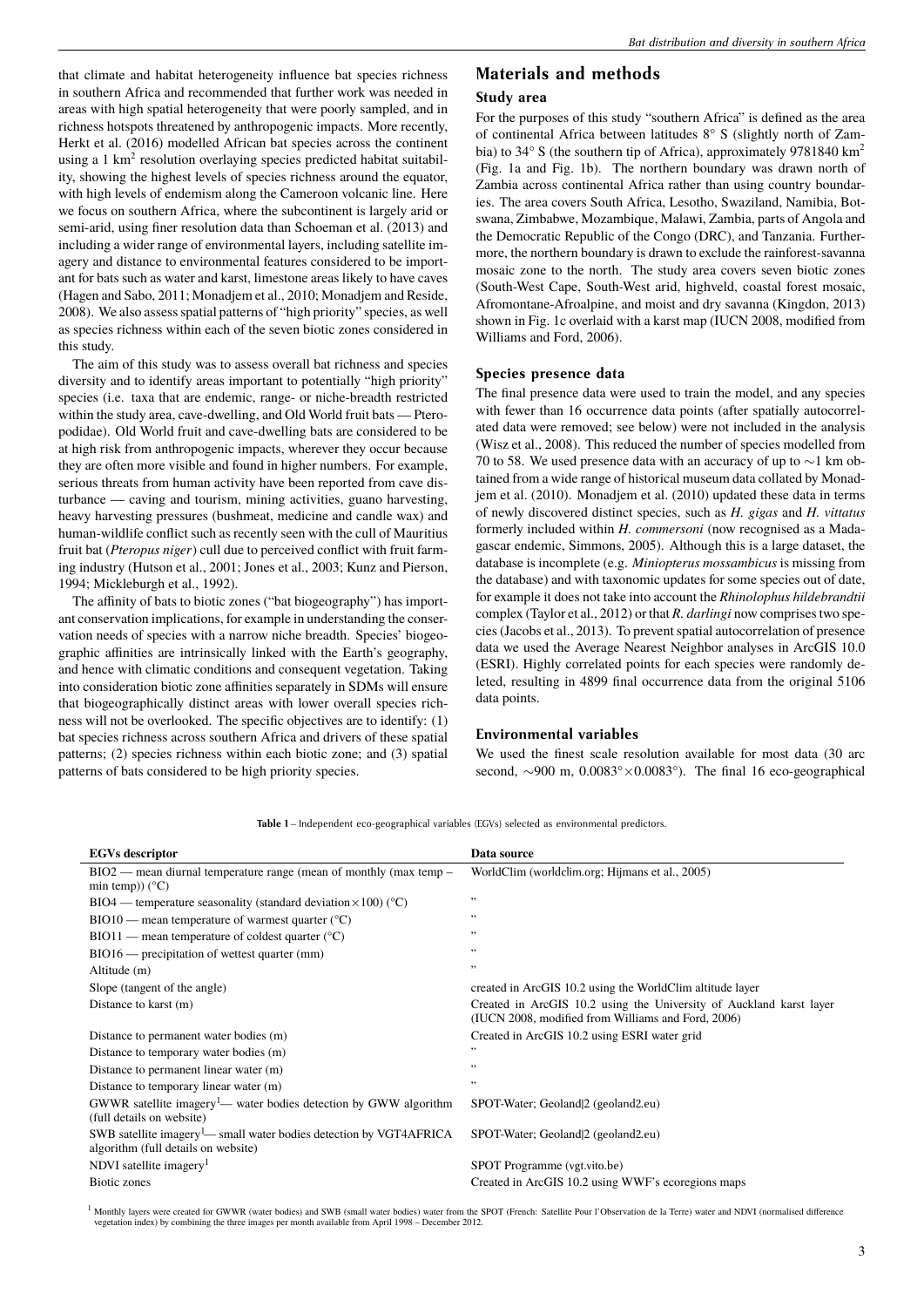that climate and habitat heterogeneity influence bat species richness in southern Africa and recommended that further work was needed in areas with high spatial heterogeneity that were poorly sampled, and in richness hotspots threatened by anthropogenic impacts. More recently, Herkt et al. (2016) modelled African bat species across the continent using a 1  $km^2$  resolution overlaying species predicted habitat suitability, showing the highest levels of species richness around the equator, with high levels of endemism along the Cameroon volcanic line. Here we focus on southern Africa, where the subcontinent is largely arid or semi-arid, using finer resolution data than Schoeman et al. (2013) and including a wider range of environmental layers, including satellite imagery and distance to environmental features considered to be important for bats such as water and karst, limestone areas likely to have caves (Hagen and Sabo, 2011; Monadjem et al., 2010; Monadjem and Reside, 2008). We also assess spatial patterns of "high priority" species, as well as species richness within each of the seven biotic zones considered in this study.

The aim of this study was to assess overall bat richness and species diversity and to identify areas important to potentially "high priority" species (i.e. taxa that are endemic, range- or niche-breadth restricted within the study area, cave-dwelling, and Old World fruit bats — Pteropodidae). Old World fruit and cave-dwelling bats are considered to be at high risk from anthropogenic impacts, wherever they occur because they are often more visible and found in higher numbers. For example, serious threats from human activity have been reported from cave disturbance — caving and tourism, mining activities, guano harvesting, heavy harvesting pressures (bushmeat, medicine and candle wax) and human-wildlife conflict such as recently seen with the cull of Mauritius fruit bat (*Pteropus niger*) cull due to perceived conflict with fruit farming industry (Hutson et al., 2001; Jones et al., 2003; Kunz and Pierson, 1994; Mickleburgh et al., 1992).

The affinity of bats to biotic zones ("bat biogeography") has important conservation implications, for example in understanding the conservation needs of species with a narrow niche breadth. Species' biogeographic affinities are intrinsically linked with the Earth's geography, and hence with climatic conditions and consequent vegetation. Taking into consideration biotic zone affinities separately in SDMs will ensure that biogeographically distinct areas with lower overall species richness will not be overlooked. The specific objectives are to identify: (1) bat species richness across southern Africa and drivers of these spatial patterns; (2) species richness within each biotic zone; and (3) spatial patterns of bats considered to be high priority species.

### **Materials and methods**

### **Study area**

For the purposes of this study "southern Africa" is defined as the area of continental Africa between latitudes 8° S (slightly north of Zambia) to 34° S (the southern tip of Africa), approximately 9781840 km<sup>2</sup> (Fig. 1a and Fig. 1b). The northern boundary was drawn north of Zambia across continental Africa rather than using country boundaries. The area covers South Africa, Lesotho, Swaziland, Namibia, Botswana, Zimbabwe, Mozambique, Malawi, Zambia, parts of Angola and the Democratic Republic of the Congo (DRC), and Tanzania. Furthermore, the northern boundary is drawn to exclude the rainforest-savanna mosaic zone to the north. The study area covers seven biotic zones (South-West Cape, South-West arid, highveld, coastal forest mosaic, Afromontane-Afroalpine, and moist and dry savanna (Kingdon, 2013) shown in Fig. 1c overlaid with a karst map (IUCN 2008, modified from Williams and Ford, 2006).

#### **Species presence data**

The final presence data were used to train the model, and any species with fewer than 16 occurrence data points (after spatially autocorrelated data were removed; see below) were not included in the analysis (Wisz et al., 2008). This reduced the number of species modelled from 70 to 58. We used presence data with an accuracy of up to ∼1 km obtained from a wide range of historical museum data collated by Monadjem et al. (2010). Monadjem et al. (2010) updated these data in terms of newly discovered distinct species, such as *H. gigas* and *H. vittatus* formerly included within *H. commersoni* (now recognised as a Madagascar endemic, Simmons, 2005). Although this is a large dataset, the database is incomplete (e.g. *Miniopterus mossambicus* is missing from the database) and with taxonomic updates for some species out of date, for example it does not take into account the *Rhinolophus hildebrandtii* complex (Taylor et al., 2012) or that *R. darlingi* now comprises two species (Jacobs et al., 2013). To prevent spatial autocorrelation of presence data we used the Average Nearest Neighbor analyses in ArcGIS 10.0 (ESRI). Highly correlated points for each species were randomly deleted, resulting in 4899 final occurrence data from the original 5106 data points.

### **Environmental variables**

We used the finest scale resolution available for most data (30 arc second, ~900 m, 0.0083°×0.0083°). The final 16 eco-geographical

**Table 1** – Independent eco-geographical variables (EGVs) selected as environmental predictors.

| <b>EGVs</b> descriptor<br>Data source<br>$BIO2$ — mean diurnal temperature range (mean of monthly (max temp –<br>WorldClim (worldclim.org; Hijmans et al., 2005)<br>min temp)) $(^{\circ}C)$<br>,,<br>$BIO4$ — temperature seasonality (standard deviation $\times 100$ ) (°C)<br>,,<br>$BIO10$ — mean temperature of warmest quarter ( $°C$ )<br>,,<br>$BIO11$ — mean temperature of coldest quarter ( $^{\circ}$ C)<br>,,<br>$BIO16$ — precipitation of wettest quarter (mm)<br>,,<br>Altitude (m)<br>created in ArcGIS 10.2 using the WorldClim altitude layer<br>Slope (tangent of the angle)<br>Created in ArcGIS 10.2 using the University of Auckland karst layer<br>Distance to karst (m)<br>(IUCN 2008, modified from Williams and Ford, 2006)<br>Created in ArcGIS 10.2 using ESRI water grid<br>Distance to permanent water bodies (m)<br>,,<br>Distance to temporary water bodies (m) |
|---------------------------------------------------------------------------------------------------------------------------------------------------------------------------------------------------------------------------------------------------------------------------------------------------------------------------------------------------------------------------------------------------------------------------------------------------------------------------------------------------------------------------------------------------------------------------------------------------------------------------------------------------------------------------------------------------------------------------------------------------------------------------------------------------------------------------------------------------------------------------------------------------|
|                                                                                                                                                                                                                                                                                                                                                                                                                                                                                                                                                                                                                                                                                                                                                                                                                                                                                                   |
|                                                                                                                                                                                                                                                                                                                                                                                                                                                                                                                                                                                                                                                                                                                                                                                                                                                                                                   |
|                                                                                                                                                                                                                                                                                                                                                                                                                                                                                                                                                                                                                                                                                                                                                                                                                                                                                                   |
|                                                                                                                                                                                                                                                                                                                                                                                                                                                                                                                                                                                                                                                                                                                                                                                                                                                                                                   |
|                                                                                                                                                                                                                                                                                                                                                                                                                                                                                                                                                                                                                                                                                                                                                                                                                                                                                                   |
|                                                                                                                                                                                                                                                                                                                                                                                                                                                                                                                                                                                                                                                                                                                                                                                                                                                                                                   |
|                                                                                                                                                                                                                                                                                                                                                                                                                                                                                                                                                                                                                                                                                                                                                                                                                                                                                                   |
|                                                                                                                                                                                                                                                                                                                                                                                                                                                                                                                                                                                                                                                                                                                                                                                                                                                                                                   |
|                                                                                                                                                                                                                                                                                                                                                                                                                                                                                                                                                                                                                                                                                                                                                                                                                                                                                                   |
|                                                                                                                                                                                                                                                                                                                                                                                                                                                                                                                                                                                                                                                                                                                                                                                                                                                                                                   |
|                                                                                                                                                                                                                                                                                                                                                                                                                                                                                                                                                                                                                                                                                                                                                                                                                                                                                                   |
| ,,<br>Distance to permanent linear water (m)                                                                                                                                                                                                                                                                                                                                                                                                                                                                                                                                                                                                                                                                                                                                                                                                                                                      |
| ,,<br>Distance to temporary linear water (m)                                                                                                                                                                                                                                                                                                                                                                                                                                                                                                                                                                                                                                                                                                                                                                                                                                                      |
| GWWR satellite imagery <sup>1</sup> — water bodies detection by GWW algorithm<br>SPOT-Water; Geoland 2 (geoland2.eu)<br>(full details on website)                                                                                                                                                                                                                                                                                                                                                                                                                                                                                                                                                                                                                                                                                                                                                 |
| SWB satellite imagery $\frac{1}{2}$ small water bodies detection by VGT4AFRICA<br>SPOT-Water; Geoland 2 (geoland2.eu)<br>algorithm (full details on website)                                                                                                                                                                                                                                                                                                                                                                                                                                                                                                                                                                                                                                                                                                                                      |
| NDVI satellite imagery <sup>1</sup><br>SPOT Programme (vgt.vito.be)                                                                                                                                                                                                                                                                                                                                                                                                                                                                                                                                                                                                                                                                                                                                                                                                                               |
| Biotic zones<br>Created in ArcGIS 10.2 using WWF's ecoregions maps                                                                                                                                                                                                                                                                                                                                                                                                                                                                                                                                                                                                                                                                                                                                                                                                                                |

<sup>1</sup> Monthly layers were created for GWWR (water bodies) and SWB (small water bodies) water from the SPOT (French: Satellite Pour l'Observation de la Terre) water and NDVI (normalised difference vegetation index) by combining the three images per month available from April 1998 – December 2012.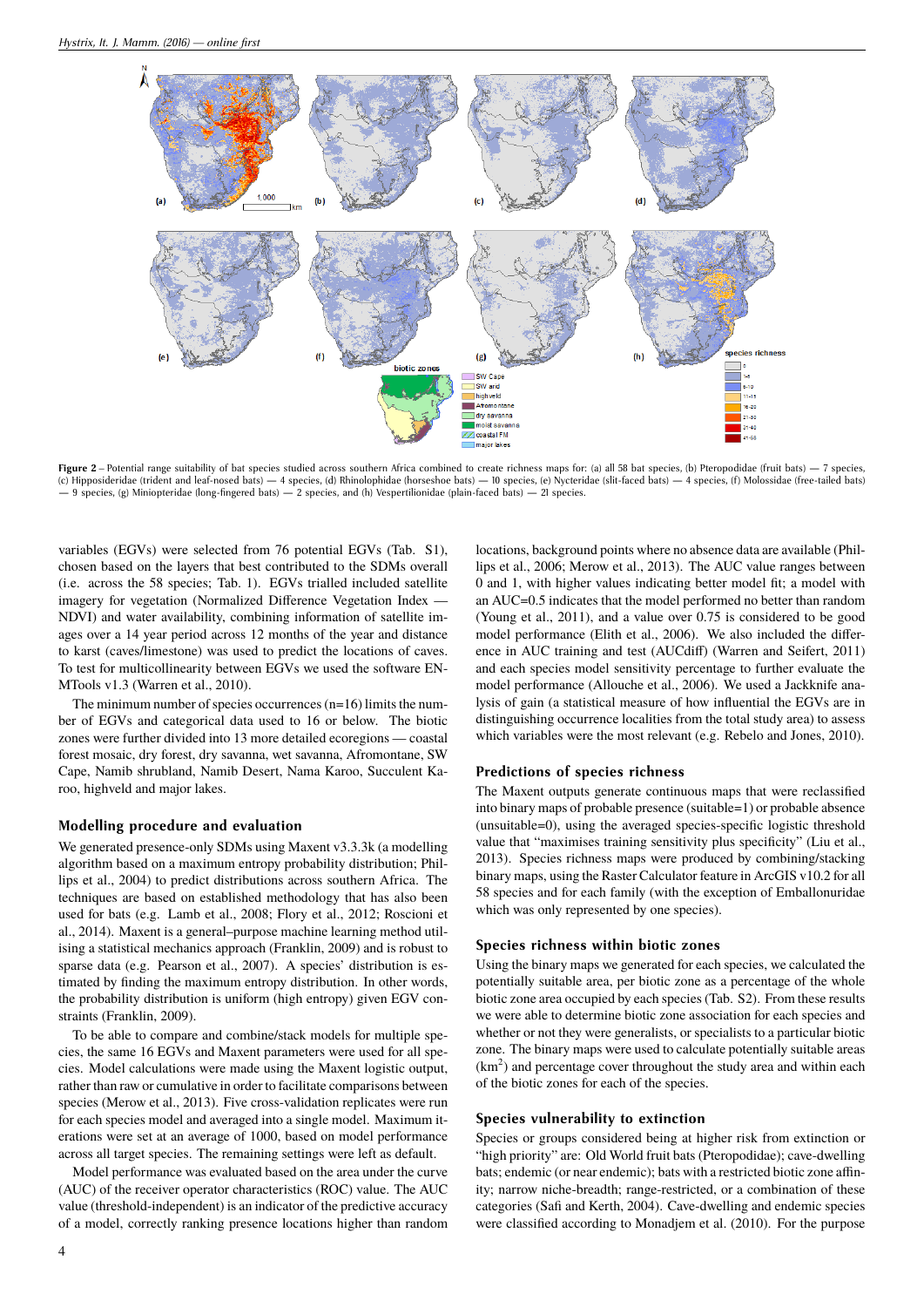

Figure 2 – Potential range suitability of bat species studied across southern Africa combined to create richness maps for: (a) all 58 bat species, (b) Pteropodidae (fruit bats) — 7 species, (c) Hipposideridae (trident and leaf-nosed bats) — 4 species, (d) Rhinolophidae (horseshoe bats) — 10 species, (e) Nycteridae (slit-faced bats) — 4 species, (f) Molossidae (free-tailed bats) — 9 species, (g) Miniopteridae (long-fingered bats) — 2 species, and (h) Vespertilionidae (plain-faced bats) — 21 species.

variables (EGVs) were selected from 76 potential EGVs (Tab. S1), chosen based on the layers that best contributed to the SDMs overall (i.e. across the 58 species; Tab. 1). EGVs trialled included satellite imagery for vegetation (Normalized Difference Vegetation Index — NDVI) and water availability, combining information of satellite images over a 14 year period across 12 months of the year and distance to karst (caves/limestone) was used to predict the locations of caves. To test for multicollinearity between EGVs we used the software EN-MTools v1.3 (Warren et al., 2010).

The minimum number of species occurrences (n=16) limits the number of EGVs and categorical data used to 16 or below. The biotic zones were further divided into 13 more detailed ecoregions — coastal forest mosaic, dry forest, dry savanna, wet savanna, Afromontane, SW Cape, Namib shrubland, Namib Desert, Nama Karoo, Succulent Karoo, highveld and major lakes.

### **Modelling procedure and evaluation**

We generated presence-only SDMs using Maxent v3.3.3k (a modelling algorithm based on a maximum entropy probability distribution; Phillips et al., 2004) to predict distributions across southern Africa. The techniques are based on established methodology that has also been used for bats (e.g. Lamb et al., 2008; Flory et al., 2012; Roscioni et al., 2014). Maxent is a general–purpose machine learning method utilising a statistical mechanics approach (Franklin, 2009) and is robust to sparse data (e.g. Pearson et al., 2007). A species' distribution is estimated by finding the maximum entropy distribution. In other words, the probability distribution is uniform (high entropy) given EGV constraints (Franklin, 2009).

To be able to compare and combine/stack models for multiple species, the same 16 EGVs and Maxent parameters were used for all species. Model calculations were made using the Maxent logistic output, rather than raw or cumulative in order to facilitate comparisons between species (Merow et al., 2013). Five cross-validation replicates were run for each species model and averaged into a single model. Maximum iterations were set at an average of 1000, based on model performance across all target species. The remaining settings were left as default.

Model performance was evaluated based on the area under the curve (AUC) of the receiver operator characteristics (ROC) value. The AUC value (threshold-independent) is an indicator of the predictive accuracy of a model, correctly ranking presence locations higher than random

locations, background points where no absence data are available (Phillips et al., 2006; Merow et al., 2013). The AUC value ranges between 0 and 1, with higher values indicating better model fit; a model with an AUC=0.5 indicates that the model performed no better than random (Young et al., 2011), and a value over 0.75 is considered to be good model performance (Elith et al., 2006). We also included the difference in AUC training and test (AUCdiff) (Warren and Seifert, 2011) and each species model sensitivity percentage to further evaluate the model performance (Allouche et al., 2006). We used a Jackknife analysis of gain (a statistical measure of how influential the EGVs are in distinguishing occurrence localities from the total study area) to assess which variables were the most relevant (e.g. Rebelo and Jones, 2010).

#### **Predictions of species richness**

The Maxent outputs generate continuous maps that were reclassified into binary maps of probable presence (suitable=1) or probable absence (unsuitable=0), using the averaged species-specific logistic threshold value that "maximises training sensitivity plus specificity" (Liu et al., 2013). Species richness maps were produced by combining/stacking binary maps, using the Raster Calculator feature in ArcGIS v10.2 for all 58 species and for each family (with the exception of Emballonuridae which was only represented by one species).

### **Species richness within biotic zones**

Using the binary maps we generated for each species, we calculated the potentially suitable area, per biotic zone as a percentage of the whole biotic zone area occupied by each species (Tab. S2). From these results we were able to determine biotic zone association for each species and whether or not they were generalists, or specialists to a particular biotic zone. The binary maps were used to calculate potentially suitable areas  $(km<sup>2</sup>)$  and percentage cover throughout the study area and within each of the biotic zones for each of the species.

#### **Species vulnerability to extinction**

Species or groups considered being at higher risk from extinction or "high priority" are: Old World fruit bats (Pteropodidae); cave-dwelling bats; endemic (or near endemic); bats with a restricted biotic zone affinity; narrow niche-breadth; range-restricted, or a combination of these categories (Safi and Kerth, 2004). Cave-dwelling and endemic species were classified according to Monadjem et al. (2010). For the purpose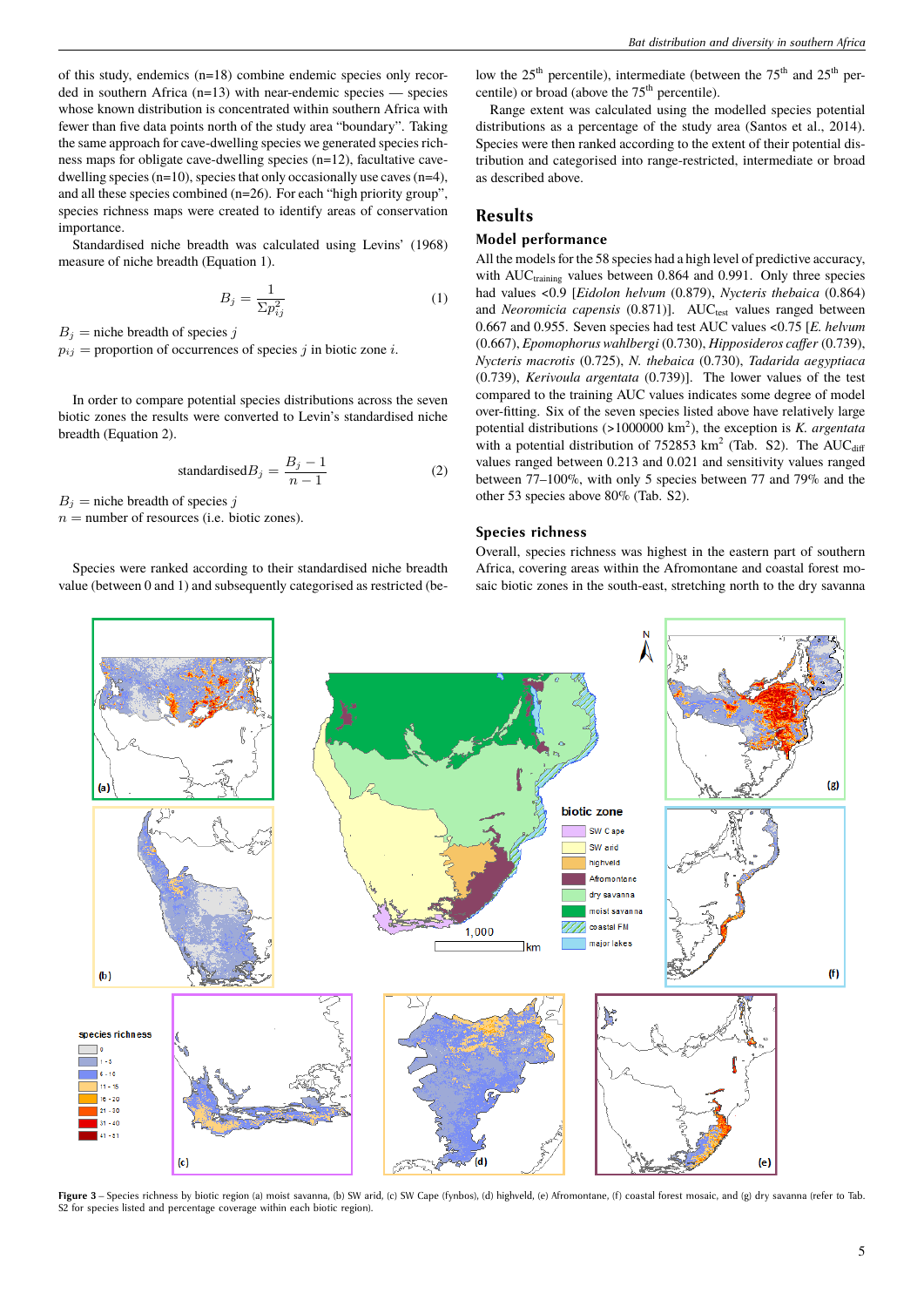of this study, endemics (n=18) combine endemic species only recorded in southern Africa (n=13) with near-endemic species — species whose known distribution is concentrated within southern Africa with fewer than five data points north of the study area "boundary". Taking the same approach for cave-dwelling species we generated species richness maps for obligate cave-dwelling species (n=12), facultative cavedwelling species  $(n=10)$ , species that only occasionally use caves  $(n=4)$ , and all these species combined (n=26). For each "high priority group", species richness maps were created to identify areas of conservation importance.

Standardised niche breadth was calculated using Levins' (1968) measure of niche breadth (Equation 1).

$$
B_j = \frac{1}{\Sigma p_{ij}^2} \tag{1}
$$

 $B_i$  = niche breadth of species *j* 

 $p_{ij}$  = proportion of occurrences of species *j* in biotic zone *i*.

In order to compare potential species distributions across the seven biotic zones the results were converted to Levin's standardised niche breadth (Equation 2).

$$
standardisedBj = \frac{B_j - 1}{n - 1}
$$
 (2)

 $B_j$  = niche breadth of species *j* 

 $n =$  number of resources (i.e. biotic zones).

Species were ranked according to their standardised niche breadth value (between 0 and 1) and subsequently categorised as restricted (below the 25<sup>th</sup> percentile), intermediate (between the 75<sup>th</sup> and 25<sup>th</sup> percentile) or broad (above the  $75<sup>th</sup>$  percentile).

Range extent was calculated using the modelled species potential distributions as a percentage of the study area (Santos et al., 2014). Species were then ranked according to the extent of their potential distribution and categorised into range-restricted, intermediate or broad as described above.

### **Results**

### **Model performance**

All the models for the 58 species had a high level of predictive accuracy, with  $AUC_{training}$  values between 0.864 and 0.991. Only three species had values <0.9 [*Eidolon helvum* (0.879), *Nycteris thebaica* (0.864) and *Neoromicia capensis* (0.871)]. AUC<sub>test</sub> values ranged between 0.667 and 0.955. Seven species had test AUC values <0.75 [*E. helvum* (0.667), *Epomophorus wahlbergi* (0.730), *Hipposideros caffer* (0.739), *Nycteris macrotis* (0.725), *N. thebaica* (0.730), *Tadarida aegyptiaca* (0.739), *Kerivoula argentata* (0.739)]. The lower values of the test compared to the training AUC values indicates some degree of model over-fitting. Six of the seven species listed above have relatively large potential distributions (>1000000 km<sup>2</sup>), the exception is *K. argentata* with a potential distribution of  $752853 \text{ km}^2$  (Tab. S2). The AUC<sub>diff</sub> values ranged between 0.213 and 0.021 and sensitivity values ranged between 77–100%, with only 5 species between 77 and 79% and the other 53 species above 80% (Tab. S2).

#### **Species richness**

Overall, species richness was highest in the eastern part of southern Africa, covering areas within the Afromontane and coastal forest mosaic biotic zones in the south-east, stretching north to the dry savanna



Figure 3 – Species richness by biotic region (a) moist savanna, (b) SW arid, (c) SW Cape (fynbos), (d) highveld, (e) Afromontane, (f) coastal forest mosaic, and (g) dry savanna (refer to Tab. S2 for species listed and percentage coverage within each biotic region).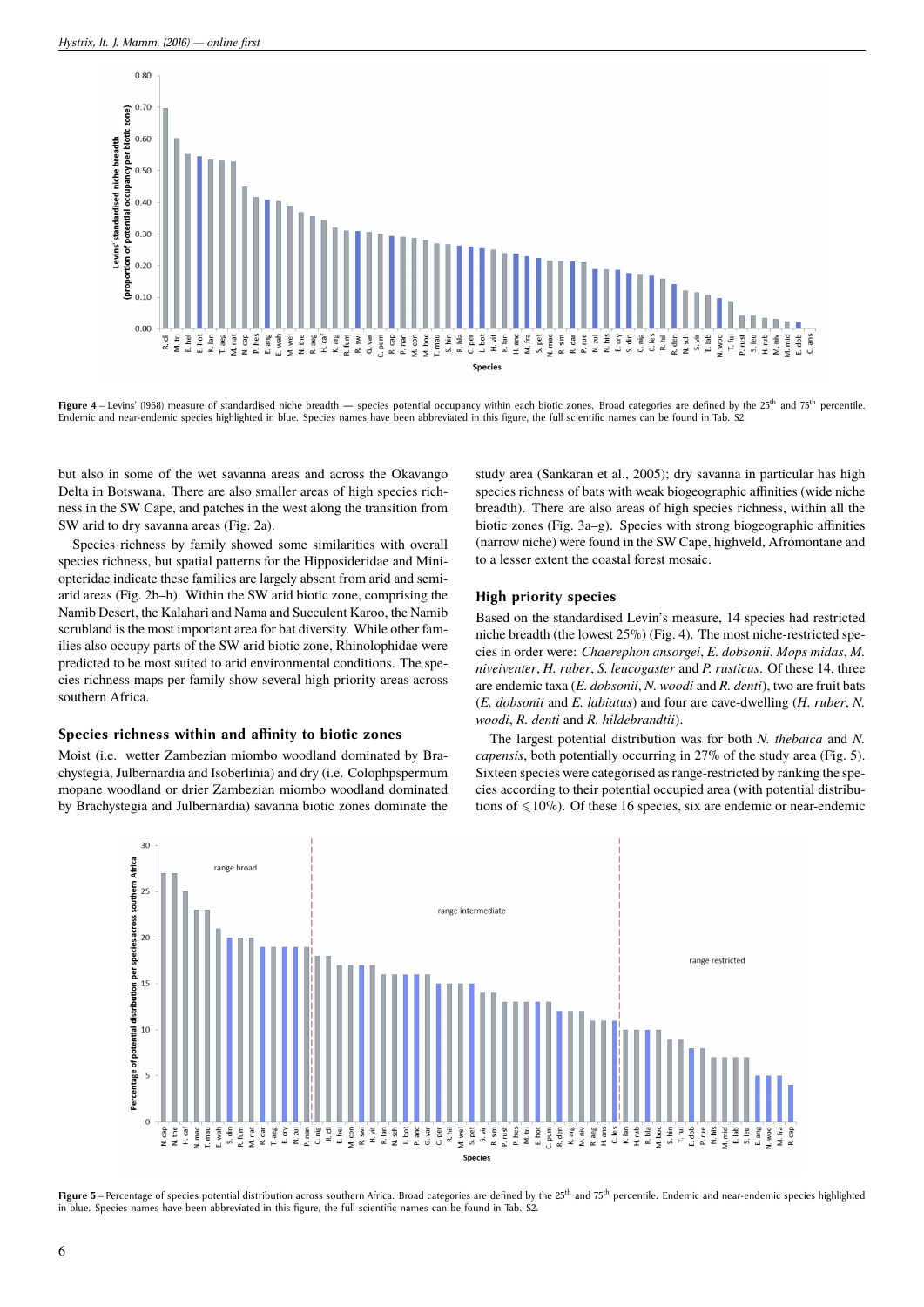

**Figure 4** – Levins' (1968) measure of standardised niche breadth — species potential occupancy within each biotic zones. Broad categories are defined by the 25<sup>th</sup> and 75<sup>th</sup> percentile. Endemic and near-endemic species highlighted in blue. Species names have been abbreviated in this figure, the full scientific names can be found in Tab. S2.

but also in some of the wet savanna areas and across the Okavango Delta in Botswana. There are also smaller areas of high species richness in the SW Cape, and patches in the west along the transition from SW arid to dry savanna areas (Fig. 2a).

Species richness by family showed some similarities with overall species richness, but spatial patterns for the Hipposideridae and Miniopteridae indicate these families are largely absent from arid and semiarid areas (Fig. 2b–h). Within the SW arid biotic zone, comprising the Namib Desert, the Kalahari and Nama and Succulent Karoo, the Namib scrubland is the most important area for bat diversity. While other families also occupy parts of the SW arid biotic zone, Rhinolophidae were predicted to be most suited to arid environmental conditions. The species richness maps per family show several high priority areas across southern Africa.

### Species richness within and affinity to biotic zones

Moist (i.e. wetter Zambezian miombo woodland dominated by Brachystegia, Julbernardia and Isoberlinia) and dry (i.e. Colophpspermum mopane woodland or drier Zambezian miombo woodland dominated by Brachystegia and Julbernardia) savanna biotic zones dominate the study area (Sankaran et al., 2005); dry savanna in particular has high species richness of bats with weak biogeographic affinities (wide niche breadth). There are also areas of high species richness, within all the biotic zones (Fig. 3a–g). Species with strong biogeographic affinities (narrow niche) were found in the SW Cape, highveld, Afromontane and to a lesser extent the coastal forest mosaic.

### **High priority species**

Based on the standardised Levin's measure, 14 species had restricted niche breadth (the lowest 25%) (Fig. 4). The most niche-restricted species in order were: *Chaerephon ansorgei*, *E. dobsonii*, *Mops midas*, *M. niveiventer*, *H. ruber*, *S. leucogaster* and *P. rusticus*. Of these 14, three are endemic taxa (*E. dobsonii*, *N. woodi* and *R. denti*), two are fruit bats (*E. dobsonii* and *E. labiatus*) and four are cave-dwelling (*H. ruber*, *N. woodi*, *R. denti* and *R. hildebrandtii*).

The largest potential distribution was for both *N. thebaica* and *N. capensis*, both potentially occurring in 27% of the study area (Fig. 5). Sixteen species were categorised as range-restricted by ranking the species according to their potential occupied area (with potential distributions of  $\leq 10\%$ ). Of these 16 species, six are endemic or near-endemic



Figure 5 – Percentage of species potential distribution across southern Africa. Broad categories are defined by the 25<sup>th</sup> and 75<sup>th</sup> percentile. Endemic and near-endemic species highlighted in blue. Species names have been abbreviated in this figure, the full scientific names can be found in Tab. S2.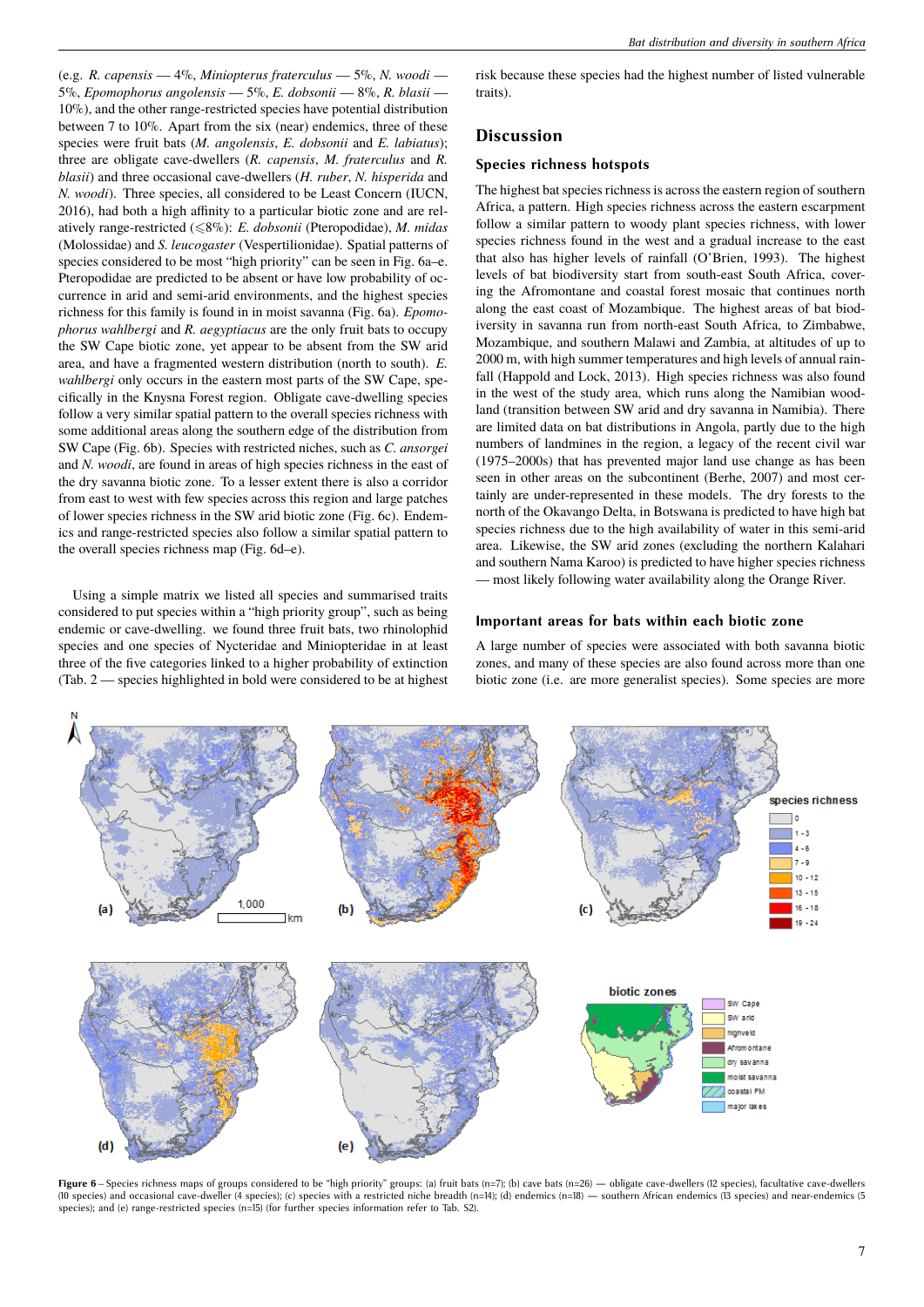(e.g. *R. capensis* — 4%, *Miniopterus fraterculus* — 5%, *N. woodi* — 5%, *Epomophorus angolensis* — 5%, *E. dobsonii* — 8%, *R. blasii* — 10%), and the other range-restricted species have potential distribution between 7 to 10%. Apart from the six (near) endemics, three of these species were fruit bats (*M. angolensis*, *E. dobsonii* and *E. labiatus*); three are obligate cave-dwellers (*R. capensis*, *M. fraterculus* and *R. blasii*) and three occasional cave-dwellers (*H. ruber*, *N. hisperida* and *N. woodi*). Three species, all considered to be Least Concern (IUCN, 2016), had both a high affinity to a particular biotic zone and are relatively range-restricted (68%): *E. dobsonii* (Pteropodidae), *M. midas* (Molossidae) and *S. leucogaster* (Vespertilionidae). Spatial patterns of species considered to be most "high priority" can be seen in Fig. 6a–e. Pteropodidae are predicted to be absent or have low probability of occurrence in arid and semi-arid environments, and the highest species richness for this family is found in in moist savanna (Fig. 6a). *Epomophorus wahlbergi* and *R. aegyptiacus* are the only fruit bats to occupy the SW Cape biotic zone, yet appear to be absent from the SW arid area, and have a fragmented western distribution (north to south). *E. wahlbergi* only occurs in the eastern most parts of the SW Cape, specifically in the Knysna Forest region. Obligate cave-dwelling species follow a very similar spatial pattern to the overall species richness with some additional areas along the southern edge of the distribution from SW Cape (Fig. 6b). Species with restricted niches, such as *C. ansorgei* and *N. woodi*, are found in areas of high species richness in the east of the dry savanna biotic zone. To a lesser extent there is also a corridor from east to west with few species across this region and large patches of lower species richness in the SW arid biotic zone (Fig. 6c). Endemics and range-restricted species also follow a similar spatial pattern to the overall species richness map (Fig. 6d–e).

Using a simple matrix we listed all species and summarised traits considered to put species within a "high priority group", such as being endemic or cave-dwelling. we found three fruit bats, two rhinolophid species and one species of Nycteridae and Miniopteridae in at least three of the five categories linked to a higher probability of extinction (Tab. 2 — species highlighted in bold were considered to be at highest risk because these species had the highest number of listed vulnerable traits).

## **Discussion**

### **Species richness hotspots**

The highest bat species richness is across the eastern region of southern Africa, a pattern. High species richness across the eastern escarpment follow a similar pattern to woody plant species richness, with lower species richness found in the west and a gradual increase to the east that also has higher levels of rainfall (O'Brien, 1993). The highest levels of bat biodiversity start from south-east South Africa, covering the Afromontane and coastal forest mosaic that continues north along the east coast of Mozambique. The highest areas of bat biodiversity in savanna run from north-east South Africa, to Zimbabwe, Mozambique, and southern Malawi and Zambia, at altitudes of up to 2000 m, with high summer temperatures and high levels of annual rainfall (Happold and Lock, 2013). High species richness was also found in the west of the study area, which runs along the Namibian woodland (transition between SW arid and dry savanna in Namibia). There are limited data on bat distributions in Angola, partly due to the high numbers of landmines in the region, a legacy of the recent civil war (1975–2000s) that has prevented major land use change as has been seen in other areas on the subcontinent (Berhe, 2007) and most certainly are under-represented in these models. The dry forests to the north of the Okavango Delta, in Botswana is predicted to have high bat species richness due to the high availability of water in this semi-arid area. Likewise, the SW arid zones (excluding the northern Kalahari and southern Nama Karoo) is predicted to have higher species richness — most likely following water availability along the Orange River.

### **Important areas for bats within each biotic zone**

A large number of species were associated with both savanna biotic zones, and many of these species are also found across more than one biotic zone (i.e. are more generalist species). Some species are more



Figure 6 – Species richness maps of groups considered to be "high priority" groups: (a) fruit bats (n=7); (b) cave bats (n=26) — obligate cave-dwellers (12 species), facultative cave-dwellers (10 species) and occasional cave-dweller (4 species); (c) species with a restricted niche breadth (n=14); (d) endemics (n=18) — southern African endemics (13 species) and near-endemics (5 species); and (e) range-restricted species (n=15) (for further species information refer to Tab. S2).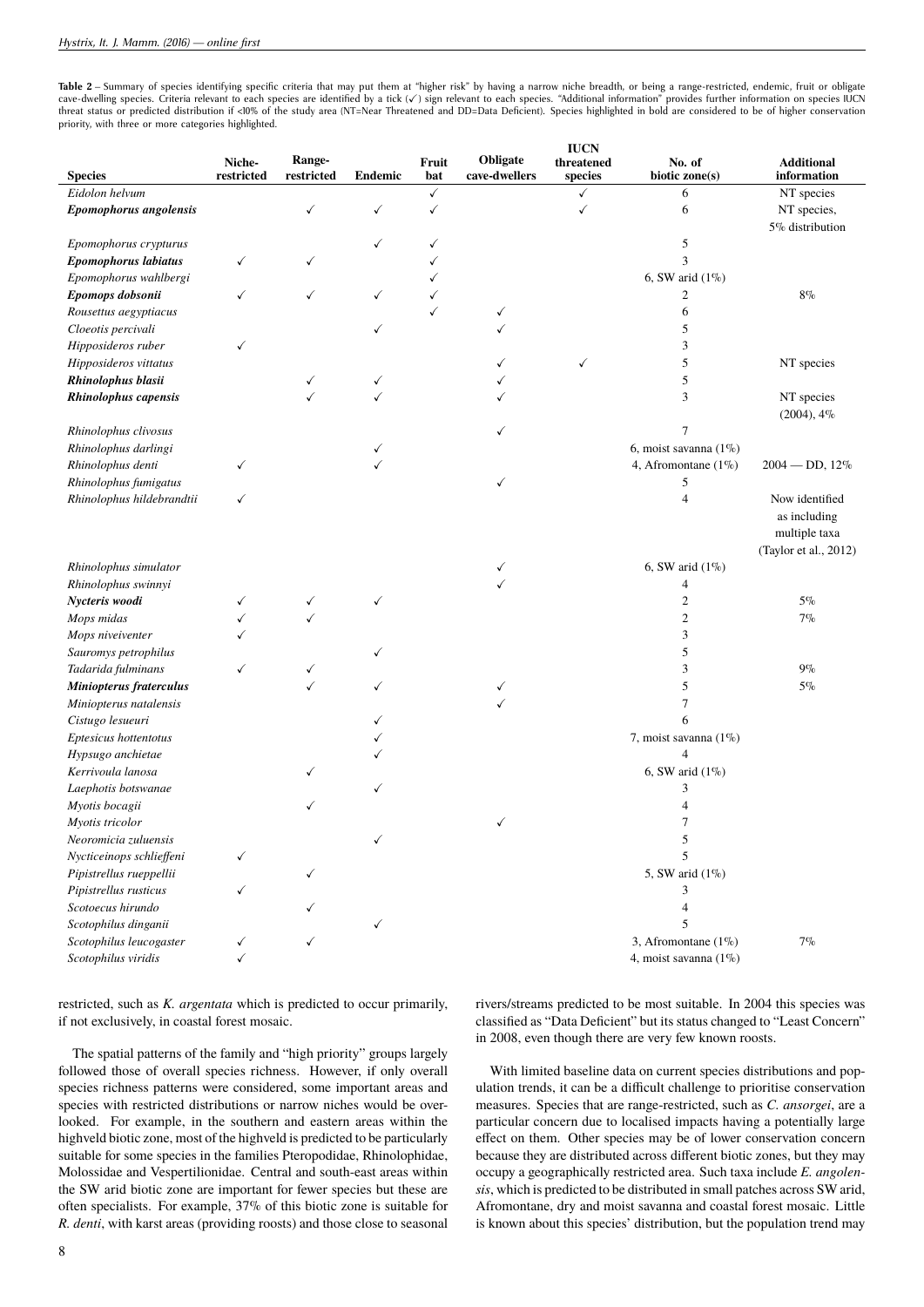Table 2 – Summary of species identifying specific criteria that may put them at "higher risk" by having a narrow niche breadth, or being a range-restricted, endemic, fruit or obligate cave-dwelling species. Criteria relevant to each species are identified by a tick (v) sign relevant to each species. "Additional information" provides further information on species IUCN threat status or predicted distribution if <10% of the study area (NT=Near Threatened and DD=Data Deficient). Species highlighted in bold are considered to be of higher conservation priority, with three or more categories highlighted.

| <b>Species</b>                                   | Niche-<br>restricted | Range-<br>restricted | <b>Endemic</b> | Fruit<br>bat | Obligate<br>cave-dwellers | <b>IUCN</b><br>threatened<br>species | No. of<br>biotic zone(s) | <b>Additional</b><br>information                |
|--------------------------------------------------|----------------------|----------------------|----------------|--------------|---------------------------|--------------------------------------|--------------------------|-------------------------------------------------|
| Eidolon helvum                                   |                      |                      |                | ✓            |                           |                                      | 6                        | NT species                                      |
|                                                  |                      | ✓                    | $\checkmark$   |              |                           | $\checkmark$<br>√                    | 6                        |                                                 |
| Epomophorus angolensis                           |                      |                      |                | ✓            |                           |                                      |                          | NT species,                                     |
|                                                  |                      |                      |                |              |                           |                                      |                          | 5% distribution                                 |
| Epomophorus crypturus                            |                      |                      | ✓              | ✓            |                           |                                      | 5                        |                                                 |
| Epomophorus labiatus                             | ✓                    | ✓                    |                |              |                           |                                      | 3                        |                                                 |
| Epomophorus wahlbergi                            |                      |                      |                |              |                           |                                      | 6, SW arid $(1\%)$       |                                                 |
| Epomops dobsonii                                 | ✓                    | ✓                    | ✓              |              |                           |                                      | $\overline{c}$           | $8\%$                                           |
| Rousettus aegyptiacus                            |                      |                      |                |              | ✓                         |                                      | 6                        |                                                 |
| Cloeotis percivali                               |                      |                      | $\checkmark$   |              | ✓                         |                                      | 5                        |                                                 |
| Hipposideros ruber                               | ✓                    |                      |                |              |                           |                                      | 3                        |                                                 |
| Hipposideros vittatus                            |                      |                      |                |              | ✓                         | ✓                                    | 5                        | NT species                                      |
| Rhinolophus blasii                               |                      | ✓                    | ✓              |              |                           |                                      | 5                        |                                                 |
| <b>Rhinolophus capensis</b>                      |                      |                      | ✓              |              |                           |                                      | 3                        | NT species<br>$(2004)$ , $4\%$                  |
| Rhinolophus clivosus                             |                      |                      |                |              | ✓                         |                                      | 7                        |                                                 |
| Rhinolophus darlingi                             |                      |                      |                |              |                           |                                      | 6, moist savanna (1%)    |                                                 |
| Rhinolophus denti                                | ✓                    |                      |                |              |                           |                                      | 4, Afromontane $(1\%)$   | $2004 - DD$ , $12\%$                            |
| Rhinolophus fumigatus                            |                      |                      |                |              | ✓                         |                                      | 5                        |                                                 |
| Rhinolophus hildebrandtii                        | ✓                    |                      |                |              |                           |                                      | 4                        | Now identified<br>as including<br>multiple taxa |
|                                                  |                      |                      |                |              |                           |                                      |                          | (Taylor et al., 2012)                           |
| Rhinolophus simulator                            |                      |                      |                |              | ✓                         |                                      | 6, SW arid $(1\%)$       |                                                 |
| Rhinolophus swinnyi                              |                      |                      |                |              | ✓                         |                                      | 4                        |                                                 |
| Nycteris woodi                                   | ✓                    | ✓                    | ✓              |              |                           |                                      | 2                        | $5\%$                                           |
| Mops midas                                       |                      |                      |                |              |                           |                                      | 2                        | $7\%$                                           |
| Mops niveiventer                                 |                      |                      |                |              |                           |                                      | 3                        |                                                 |
| Sauromys petrophilus                             |                      |                      | ✓              |              |                           |                                      | 5                        |                                                 |
| Tadarida fulminans                               | √                    | ✓                    |                |              |                           |                                      | 3                        | $9\%$                                           |
| Miniopterus fraterculus                          |                      | ✓                    | ✓              |              | ✓                         |                                      | 5                        | $5\%$                                           |
| Miniopterus natalensis                           |                      |                      |                |              | ✓                         |                                      | 7                        |                                                 |
| Cistugo lesueuri                                 |                      |                      |                |              |                           |                                      | 6                        |                                                 |
| Eptesicus hottentotus                            |                      |                      |                |              |                           |                                      | 7, moist savanna $(1\%)$ |                                                 |
| Hypsugo anchietae                                |                      |                      |                |              |                           |                                      | 4                        |                                                 |
| Kerrivoula lanosa                                |                      |                      |                |              |                           |                                      | 6, SW arid $(1\%)$       |                                                 |
| Laephotis botswanae                              |                      |                      | ✓              |              |                           |                                      | 3                        |                                                 |
| Myotis bocagii                                   |                      | ✓                    |                |              |                           |                                      | 4                        |                                                 |
| Myotis tricolor                                  |                      |                      |                |              | ✓                         |                                      | 7                        |                                                 |
|                                                  |                      |                      |                |              |                           |                                      | 5                        |                                                 |
| Neoromicia zuluensis<br>Nycticeinops schlieffeni |                      |                      |                |              |                           |                                      |                          |                                                 |
|                                                  | ✓                    |                      |                |              |                           |                                      | 5                        |                                                 |
| Pipistrellus rueppellii                          |                      | ✓                    |                |              |                           |                                      | 5, SW arid (1%)          |                                                 |
| Pipistrellus rusticus                            | ✓                    |                      |                |              |                           |                                      | 3                        |                                                 |
| Scotoecus hirundo                                |                      |                      |                |              |                           |                                      | 4                        |                                                 |
| Scotophilus dinganii                             |                      |                      | $\checkmark$   |              |                           |                                      | 5                        |                                                 |
| Scotophilus leucogaster                          | ✓                    | ✓                    |                |              |                           |                                      | 3, Afromontane (1%)      | $7\%$                                           |
| Scotophilus viridis                              |                      |                      |                |              |                           |                                      | 4, moist savanna (1%)    |                                                 |

restricted, such as *K. argentata* which is predicted to occur primarily, if not exclusively, in coastal forest mosaic.

rivers/streams predicted to be most suitable. In 2004 this species was classified as "Data Deficient" but its status changed to "Least Concern" in 2008, even though there are very few known roosts.

The spatial patterns of the family and "high priority" groups largely followed those of overall species richness. However, if only overall species richness patterns were considered, some important areas and species with restricted distributions or narrow niches would be overlooked. For example, in the southern and eastern areas within the highveld biotic zone, most of the highveld is predicted to be particularly suitable for some species in the families Pteropodidae, Rhinolophidae, Molossidae and Vespertilionidae. Central and south-east areas within the SW arid biotic zone are important for fewer species but these are often specialists. For example, 37% of this biotic zone is suitable for *R. denti*, with karst areas (providing roosts) and those close to seasonal

With limited baseline data on current species distributions and population trends, it can be a difficult challenge to prioritise conservation measures. Species that are range-restricted, such as *C. ansorgei*, are a particular concern due to localised impacts having a potentially large effect on them. Other species may be of lower conservation concern because they are distributed across different biotic zones, but they may occupy a geographically restricted area. Such taxa include *E. angolensis*, which is predicted to be distributed in small patches across SW arid, Afromontane, dry and moist savanna and coastal forest mosaic. Little is known about this species' distribution, but the population trend may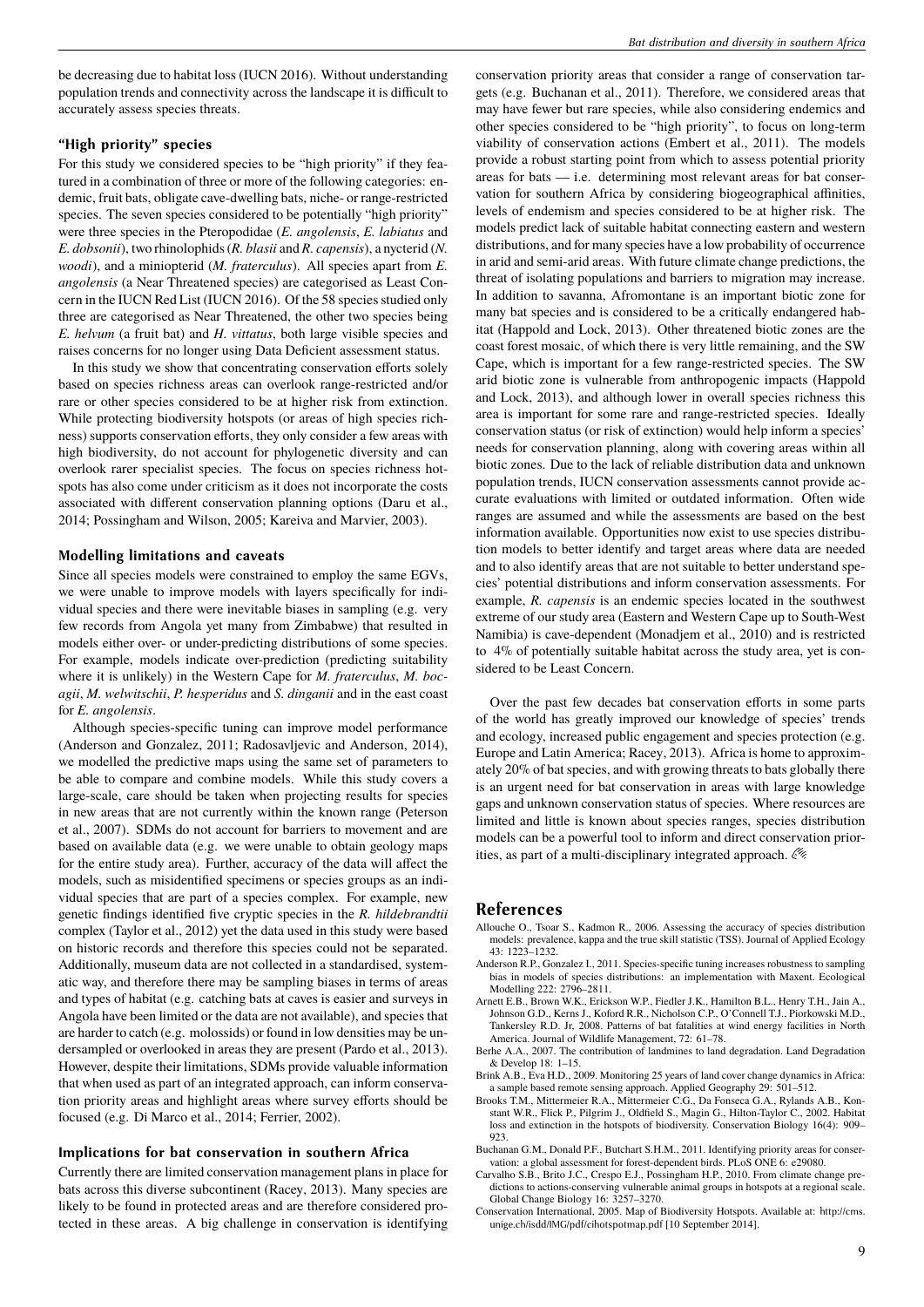be decreasing due to habitat loss (IUCN 2016). Without understanding population trends and connectivity across the landscape it is difficult to accurately assess species threats.

### **"High priority" species**

For this study we considered species to be "high priority" if they featured in a combination of three or more of the following categories: endemic, fruit bats, obligate cave-dwelling bats, niche- or range-restricted species. The seven species considered to be potentially "high priority" were three species in the Pteropodidae (*E. angolensis*, *E. labiatus* and *E. dobsonii*), two rhinolophids (*R. blasii* and *R. capensis*), a nycterid (*N. woodi*), and a miniopterid (*M. fraterculus*). All species apart from *E. angolensis* (a Near Threatened species) are categorised as Least Concern in the IUCN Red List (IUCN 2016). Of the 58 species studied only three are categorised as Near Threatened, the other two species being *E. helvum* (a fruit bat) and *H. vittatus*, both large visible species and raises concerns for no longer using Data Deficient assessment status.

In this study we show that concentrating conservation efforts solely based on species richness areas can overlook range-restricted and/or rare or other species considered to be at higher risk from extinction. While protecting biodiversity hotspots (or areas of high species richness) supports conservation efforts, they only consider a few areas with high biodiversity, do not account for phylogenetic diversity and can overlook rarer specialist species. The focus on species richness hotspots has also come under criticism as it does not incorporate the costs associated with different conservation planning options (Daru et al., 2014; Possingham and Wilson, 2005; Kareiva and Marvier, 2003).

### **Modelling limitations and caveats**

Since all species models were constrained to employ the same EGVs, we were unable to improve models with layers specifically for individual species and there were inevitable biases in sampling (e.g. very few records from Angola yet many from Zimbabwe) that resulted in models either over- or under-predicting distributions of some species. For example, models indicate over-prediction (predicting suitability where it is unlikely) in the Western Cape for *M. fraterculus*, *M. bocagii*, *M. welwitschii*, *P. hesperidus* and *S. dinganii* and in the east coast for *E. angolensis*.

Although species-specific tuning can improve model performance (Anderson and Gonzalez, 2011; Radosavljevic and Anderson, 2014), we modelled the predictive maps using the same set of parameters to be able to compare and combine models. While this study covers a large-scale, care should be taken when projecting results for species in new areas that are not currently within the known range (Peterson et al., 2007). SDMs do not account for barriers to movement and are based on available data (e.g. we were unable to obtain geology maps for the entire study area). Further, accuracy of the data will affect the models, such as misidentified specimens or species groups as an individual species that are part of a species complex. For example, new genetic findings identified five cryptic species in the *R. hildebrandtii* complex (Taylor et al., 2012) yet the data used in this study were based on historic records and therefore this species could not be separated. Additionally, museum data are not collected in a standardised, systematic way, and therefore there may be sampling biases in terms of areas and types of habitat (e.g. catching bats at caves is easier and surveys in Angola have been limited or the data are not available), and species that are harder to catch (e.g. molossids) or found in low densities may be undersampled or overlooked in areas they are present (Pardo et al., 2013). However, despite their limitations, SDMs provide valuable information that when used as part of an integrated approach, can inform conservation priority areas and highlight areas where survey efforts should be focused (e.g. Di Marco et al., 2014; Ferrier, 2002).

### **Implications for bat conservation in southern Africa**

Currently there are limited conservation management plans in place for bats across this diverse subcontinent (Racey, 2013). Many species are likely to be found in protected areas and are therefore considered protected in these areas. A big challenge in conservation is identifying conservation priority areas that consider a range of conservation targets (e.g. Buchanan et al., 2011). Therefore, we considered areas that may have fewer but rare species, while also considering endemics and other species considered to be "high priority", to focus on long-term viability of conservation actions (Embert et al., 2011). The models provide a robust starting point from which to assess potential priority areas for bats — i.e. determining most relevant areas for bat conservation for southern Africa by considering biogeographical affinities, levels of endemism and species considered to be at higher risk. The models predict lack of suitable habitat connecting eastern and western distributions, and for many species have a low probability of occurrence in arid and semi-arid areas. With future climate change predictions, the threat of isolating populations and barriers to migration may increase. In addition to savanna, Afromontane is an important biotic zone for many bat species and is considered to be a critically endangered habitat (Happold and Lock, 2013). Other threatened biotic zones are the coast forest mosaic, of which there is very little remaining, and the SW Cape, which is important for a few range-restricted species. The SW arid biotic zone is vulnerable from anthropogenic impacts (Happold and Lock, 2013), and although lower in overall species richness this area is important for some rare and range-restricted species. Ideally conservation status (or risk of extinction) would help inform a species' needs for conservation planning, along with covering areas within all biotic zones. Due to the lack of reliable distribution data and unknown population trends, IUCN conservation assessments cannot provide accurate evaluations with limited or outdated information. Often wide ranges are assumed and while the assessments are based on the best information available. Opportunities now exist to use species distribution models to better identify and target areas where data are needed and to also identify areas that are not suitable to better understand species' potential distributions and inform conservation assessments. For example, *R. capensis* is an endemic species located in the southwest extreme of our study area (Eastern and Western Cape up to South-West Namibia) is cave-dependent (Monadjem et al., 2010) and is restricted to 4% of potentially suitable habitat across the study area, yet is considered to be Least Concern.

Over the past few decades bat conservation efforts in some parts of the world has greatly improved our knowledge of species' trends and ecology, increased public engagement and species protection (e.g. Europe and Latin America; Racey, 2013). Africa is home to approximately 20% of bat species, and with growing threats to bats globally there is an urgent need for bat conservation in areas with large knowledge gaps and unknown conservation status of species. Where resources are limited and little is known about species ranges, species distribution models can be a powerful tool to inform and direct conservation priorities, as part of a multi-disciplinary integrated approach.

### **References**

- Allouche O., Tsoar S., Kadmon R., 2006. Assessing the accuracy of species distribution models: prevalence, kappa and the true skill statistic (TSS). Journal of Applied Ecology 43: 1223–1232.
- Anderson R.P., Gonzalez I., 2011. Species-specific tuning increases robustness to sampling bias in models of species distributions: an implementation with Maxent. Ecological Modelling 222: 2796–2811.
- Arnett E.B., Brown W.K., Erickson W.P., Fiedler J.K., Hamilton B.L., Henry T.H., Jain A., Johnson G.D., Kerns J., Koford R.R., Nicholson C.P., O'Connell T.J., Piorkowski M.D., Tankersley R.D. Jr, 2008. Patterns of bat fatalities at wind energy facilities in North America. Journal of Wildlife Management, 72: 61–78.
- Berhe A.A., 2007. The contribution of landmines to land degradation. Land Degradation & Develop 18: 1–15.
- Brink A.B., Eva H.D., 2009. Monitoring 25 years of land cover change dynamics in Africa: a sample based remote sensing approach. Applied Geography 29: 501–512.
- Brooks T.M., Mittermeier R.A., Mittermeier C.G., Da Fonseca G.A., Rylands A.B., Konstant W.R., Flick P., Pilgrim J., Oldfield S., Magin G., Hilton-Taylor C., 2002. Habitat loss and extinction in the hotspots of biodiversity. Conservation Biology 16(4): 909– 923.
- Buchanan G.M., Donald P.F., Butchart S.H.M., 2011. Identifying priority areas for conservation: a global assessment for forest-dependent birds. PLoS ONE 6: e29080.
- Carvalho S.B., Brito J.C., Crespo E.J., Possingham H.P., 2010. From climate change predictions to actions-conserving vulnerable animal groups in hotspots at a regional scale. Global Change Biology 16: 3257–3270.
- Conservation International, 2005. Map of Biodiversity Hotspots. Available at: http://cms. unige.ch/isdd/IMG/pdf/cihotspotmap.pdf [10 September 2014].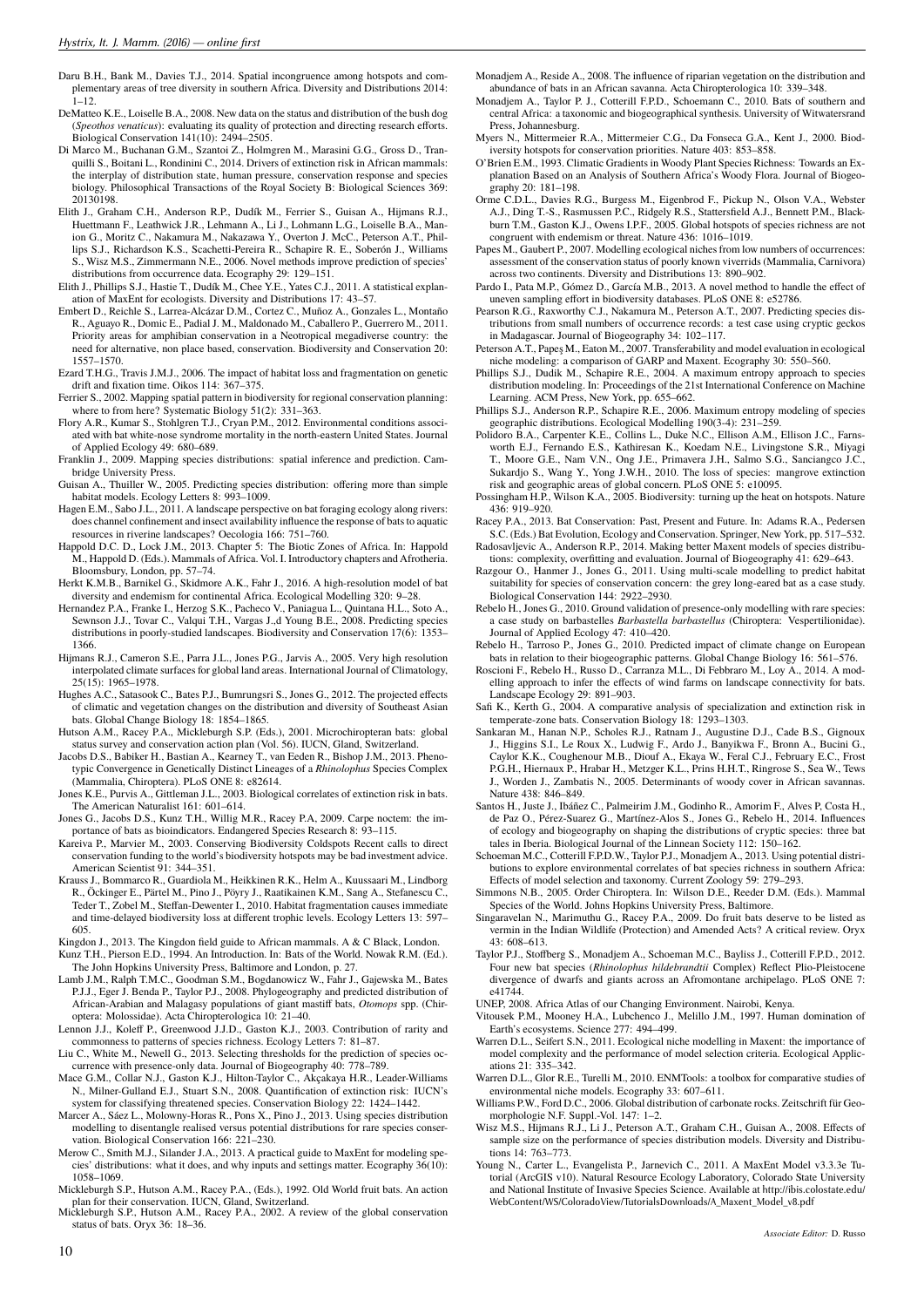- Daru B.H., Bank M., Davies T.J., 2014. Spatial incongruence among hotspots and complementary areas of tree diversity in southern Africa. Diversity and Distributions 2014:  $1 - 12$
- DeMatteo K.E., Loiselle B.A., 2008. New data on the status and distribution of the bush dog (*Speothos venaticus*): evaluating its quality of protection and directing research efforts. Biological Conservation 141(10): 2494–2505.
- Di Marco M., Buchanan G.M., Szantoi Z., Holmgren M., Marasini G.G., Gross D., Tranquilli S., Boitani L., Rondinini C., 2014. Drivers of extinction risk in African mammals: the interplay of distribution state, human pressure, conservation response and species biology. Philosophical Transactions of the Royal Society B: Biological Sciences 369: 20130198.
- Elith J., Graham C.H., Anderson R.P., Dudík M., Ferrier S., Guisan A., Hijmans R.J., Huettmann F., Leathwick J.R., Lehmann A., Li J., Lohmann L.G., Loiselle B.A., Manion G., Moritz C., Nakamura M., Nakazawa Y., Overton J. McC., Peterson A.T., Phillips S.J., Richardson K.S., Scachetti-Pereira R., Schapire R. E., Soberón J., Williams S., Wisz M.S., Zimmermann N.E., 2006. Novel methods improve prediction of species' distributions from occurrence data. Ecography 29: 129–151.
- Elith J., Phillips S.J., Hastie T., Dudík M., Chee Y.E., Yates C.J., 2011. A statistical explanation of MaxEnt for ecologists. Diversity and Distributions 17: 43–57.
- Embert D., Reichle S., Larrea-Alcázar D.M., Cortez C., Muñoz A., Gonzales L., Montaño R., Aguayo R., Domic E., Padial J. M., Maldonado M., Caballero P., Guerrero M., 2011. Priority areas for amphibian conservation in a Neotropical megadiverse country: the need for alternative, non place based, conservation. Biodiversity and Conservation 20: 1557–1570.
- Ezard T.H.G., Travis J.M.J., 2006. The impact of habitat loss and fragmentation on genetic drift and fixation time. Oikos 114: 367–375.
- Ferrier S., 2002. Mapping spatial pattern in biodiversity for regional conservation planning: where to from here? Systematic Biology 51(2): 331–363.
- Flory A.R., Kumar S., Stohlgren T.J., Cryan P.M., 2012. Environmental conditions associated with bat white-nose syndrome mortality in the north-eastern United States. Journal of Applied Ecology 49: 680–689.
- Franklin J., 2009. Mapping species distributions: spatial inference and prediction. Cambridge University Press.
- Guisan A., Thuiller W., 2005. Predicting species distribution: offering more than simple habitat models. Ecology Letters 8: 993–1009.
- Hagen E.M., Sabo J.L., 2011. A landscape perspective on bat foraging ecology along rivers: does channel confinement and insect availability influence the response of bats to aquatic resources in riverine landscapes? Oecologia 166: 751–760.
- Happold D.C. D., Lock J.M., 2013. Chapter 5: The Biotic Zones of Africa. In: Happold M., Happold D. (Eds.). Mammals of Africa. Vol. I. Introductory chapters and Afrotheria. Bloomsbury, London, pp. 57–74.
- Herkt K.M.B., Barnikel G., Skidmore A.K., Fahr J., 2016. A high-resolution model of bat diversity and endemism for continental Africa. Ecological Modelling 320: 9–28.
- Hernandez P.A., Franke I., Herzog S.K., Pacheco V., Paniagua L., Quintana H.L., Soto A., Sewnson J.J., Tovar C., Valqui T.H., Vargas J.,d Young B.E., 2008. Predicting species distributions in poorly-studied landscapes. Biodiversity and Conservation 17(6): 1353– 1366.
- Hijmans R.J., Cameron S.E., Parra J.L., Jones P.G., Jarvis A., 2005. Very high resolution interpolated climate surfaces for global land areas. International Journal of Climatology, 25(15): 1965–1978.
- Hughes A.C., Satasook C., Bates P.J., Bumrungsri S., Jones G., 2012. The projected effects of climatic and vegetation changes on the distribution and diversity of Southeast Asian bats. Global Change Biology 18: 1854–1865.
- Hutson A.M., Racey P.A., Mickleburgh S.P. (Eds.), 2001. Microchiropteran bats: global status survey and conservation action plan (Vol. 56). IUCN, Gland, Switzerland
- Jacobs D.S., Babiker H., Bastian A., Kearney T., van Eeden R., Bishop J.M., 2013. Phenotypic Convergence in Genetically Distinct Lineages of a *Rhinolophus* Species Complex (Mammalia, Chiroptera). PLoS ONE 8: e82614.
- Jones K.E., Purvis A., Gittleman J.L., 2003. Biological correlates of extinction risk in bats. The American Naturalist 161: 601–614.
- Jones G., Jacobs D.S., Kunz T.H., Willig M.R., Racey P.A, 2009. Carpe noctem: the importance of bats as bioindicators. Endangered Species Research 8: 93–115.
- Kareiva P., Marvier M., 2003. Conserving Biodiversity Coldspots Recent calls to direct conservation funding to the world's biodiversity hotspots may be bad investment advice. American Scientist 91: 344–351.
- Krauss J., Bommarco R., Guardiola M., Heikkinen R.K., Helm A., Kuussaari M., Lindborg R., Öckinger E., Pärtel M., Pino J., Pöyry J., Raatikainen K.M., Sang A., Stefanescu C., Teder T., Zobel M., Steffan-Dewenter I., 2010. Habitat fragmentation causes immediate and time-delayed biodiversity loss at different trophic levels. Ecology Letters 13: 597– 605.
- Kingdon J., 2013. The Kingdon field guide to African mammals. A & C Black, London.
- Kunz T.H., Pierson E.D., 1994. An Introduction. In: Bats of the World. Nowak R.M. (Ed.). The John Hopkins University Press, Baltimore and London, p. 27.
- Lamb J.M., Ralph T.M.C., Goodman S.M., Bogdanowicz W., Fahr J., Gajewska M., Bates P.J.J., Eger J. Benda P., Taylor P.J., 2008. Phylogeography and predicted distribution of African-Arabian and Malagasy populations of giant mastiff bats, *Otomops* spp. (Chiroptera: Molossidae). Acta Chiropterologica 10: 21–40.
- Lennon J.J., Koleff P., Greenwood J.J.D., Gaston K.J., 2003. Contribution of rarity and commonness to patterns of species richness. Ecology Letters 7: 81–87.
- Liu C., White M., Newell G., 2013. Selecting thresholds for the prediction of species occurrence with presence-only data. Journal of Biogeography 40: 778–789.
- Mace G.M., Collar N.J., Gaston K.J., Hilton-Taylor C., Akçakaya H.R., Leader-Williams N., Milner-Gulland E.J., Stuart S.N., 2008. Quantification of extinction risk: IUCN's system for classifying threatened species. Conservation Biology 22: 1424–1442.
- Marcer A., Sáez L., Molowny-Horas R., Pons X., Pino J., 2013. Using species distribution modelling to disentangle realised versus potential distributions for rare species conservation. Biological Conservation 166: 221–230.
- Merow C., Smith M.J., Silander J.A., 2013. A practical guide to MaxEnt for modeling s cies' distributions: what it does, and why inputs and settings matter. Ecography 36(10): 1058–1069.
- Mickleburgh S.P., Hutson A.M., Racey P.A., (Eds.), 1992. Old World fruit bats. An action
- plan for their conservation. IUCN, Gland, Switzerland. Mickleburgh S.P., Hutson A.M., Racey P.A., 2002. A review of the global conservation status of bats. Oryx 36: 18–36.
- Monadjem A., Reside A., 2008. The influence of riparian vegetation on the distribution and abundance of bats in an African savanna. Acta Chiropterologica 10: 339–348.
- Monadjem A., Taylor P. J., Cotterill F.P.D., Schoemann C., 2010. Bats of southern and central Africa: a taxonomic and biogeographical synthesis. University of Witwatersrand Press, Johannesburg.
- Myers N., Mittermeier R.A., Mittermeier C.G., Da Fonseca G.A., Kent J., 2000. Biodiversity hotspots for conservation priorities. Nature 403: 853–858.
- O'Brien E.M., 1993. Climatic Gradients in Woody Plant Species Richness: Towards an Explanation Based on an Analysis of Southern Africa's Woody Flora. Journal of Biogeography 20: 181–198.
- Orme C.D.L., Davies R.G., Burgess M., Eigenbrod F., Pickup N., Olson V.A., Webster A.J., Ding T.-S., Rasmussen P.C., Ridgely R.S., Stattersfield A.J., Bennett P.M., Blackburn T.M., Gaston K.J., Owens I.P.F., 2005. Global hotspots of species richness are not congruent with endemism or threat. Nature 436: 1016–1019.
- Papes M., Gaubert P., 2007. Modelling ecological niches from low numbers of occurrences: assessment of the conservation status of poorly known viverrids (Mammalia, Carnivora) across two continents. Diversity and Distributions 13: 890–902.
- Pardo I., Pata M.P., Gómez D., García M.B., 2013. A novel method to handle the effect of uneven sampling effort in biodiversity databases. PLoS ONE 8: e52786.
- Pearson R.G., Raxworthy C.J., Nakamura M., Peterson A.T., 2007. Predicting species distributions from small numbers of occurrence records: a test case using cryptic geckos in Madagascar. Journal of Biogeography 34: 102–117.
- Peterson A.T., Papeş M., Eaton M., 2007. Transferability and model evaluation in ecological niche modeling: a comparison of GARP and Maxent. Ecography 30: 550–560.
- Phillips S.J., Dudik M., Schapire R.E., 2004. A maximum entropy approach to species distribution modeling. In: Proceedings of the 21st International Conference on Machine Learning. ACM Press, New York, pp. 655–662.
- Phillips S.J., Anderson R.P., Schapire R.E., 2006. Maximum entropy modeling of species geographic distributions. Ecological Modelling 190(3-4): 231–259.
- Polidoro B.A., Carpenter K.E., Collins L., Duke N.C., Ellison A.M., Ellison J.C., Farnsworth E.J., Fernando E.S., Kathiresan K., Koedam N.E., Livingstone S.R., Miyagi T., Moore G.E., Nam V.N., Ong J.E., Primavera J.H., Salmo S.G., Sanciangco J.C., Sukardjo S., Wang Y., Yong J.W.H., 2010. The loss of species: mangrove extinction risk and geographic areas of global concern. PLoS ONE 5: e10095.
- Possingham H.P., Wilson K.A., 2005. Biodiversity: turning up the heat on hotspots. Nature 436: 919–920.
- Racey P.A., 2013. Bat Conservation: Past, Present and Future. In: Adams R.A., Pedersen S.C. (Eds.) Bat Evolution, Ecology and Conservation. Springer, New York, pp. 517–532.
- Radosavljevic A., Anderson R.P., 2014. Making better Maxent models of species distributions: complexity, overfitting and evaluation. Journal of Biogeography 41: 629–643.
- Razgour O., Hanmer J., Jones G., 2011. Using multi-scale modelling to predict habitat suitability for species of conservation concern: the grey long-eared bat as a case study. Biological Conservation 144: 2922–2930.
- Rebelo H., Jones G., 2010. Ground validation of presence-only modelling with rare species: a case study on barbastelles *Barbastella barbastellus* (Chiroptera: Vespertilionidae). Journal of Applied Ecology 47: 410–420.
- Rebelo H., Tarroso P., Jones G., 2010. Predicted impact of climate change on European bats in relation to their biogeographic patterns. Global Change Biology 16: 561–576.
- Roscioni F., Rebelo H., Russo D., Carranza M.L., Di Febbraro M., Loy A., 2014. A modelling approach to infer the effects of wind farms on landscape connectivity for bats. Landscape Ecology 29: 891–903.
- Safi K., Kerth G., 2004. A comparative analysis of specialization and extinction risk in temperate-zone bats. Conservation Biology 18: 1293–1303.
- Sankaran M., Hanan N.P., Scholes R.J., Ratnam J., Augustine D.J., Cade B.S., Gignoux J., Higgins S.I., Le Roux X., Ludwig F., Ardo J., Banyikwa F., Bronn A., Bucini G., Caylor K.K., Coughenour M.B., Diouf A., Ekaya W., Feral C.J., February E.C., Frost P.G.H., Hiernaux P., Hrabar H., Metzger K.L., Prins H.H.T., Ringrose S., Sea W., Tews J., Worden J., Zambatis N., 2005. Determinants of woody cover in African savannas. Nature 438: 846–849.
- Santos H., Juste J., Ibáñez C., Palmeirim J.M., Godinho R., Amorim F., Alves P, Costa H., de Paz O., Pérez-Suarez G., Martínez-Alos S., Jones G., Rebelo H., 2014. Influences of ecology and biogeography on shaping the distributions of cryptic species: three bat tales in Iberia. Biological Journal of the Linnean Society 112: 150–162.
- Schoeman M.C., Cotterill F.P.D.W., Taylor P.J., Monadjem A., 2013. Using potential distributions to explore environmental correlates of bat species richness in southern Africa: Effects of model selection and taxonomy. Current Zoology 59: 279–293.
- Simmons N.B., 2005. Order Chiroptera. In: Wilson D.E., Reeder D.M. (Eds.). Mammal Species of the World. Johns Hopkins University Press, Baltimore.
- Singaravelan N., Marimuthu G., Racey P.A., 2009. Do fruit bats deserve to be listed as vermin in the Indian Wildlife (Protection) and Amended Acts? A critical review. Oryx 43: 608–613.
- Taylor P.J., Stoffberg S., Monadjem A., Schoeman M.C., Bayliss J., Cotterill F.P.D., 2012. Four new bat species (*Rhinolophus hildebrandtii* Complex) Reflect Plio-Pleistocene divergence of dwarfs and giants across an Afromontane archipelago. PLoS ONE 7: e41744.
- UNEP, 2008. Africa Atlas of our Changing Environment. Nairobi, Kenya. Vitousek P.M., Mooney H.A., Lubchenco J., Melillo J.M., 1997. Human domination of Earth's ecosystems. Science 277: 494–499.
- Warren D.L., Seifert S.N., 2011. Ecological niche modelling in Maxent: the importance of model complexity and the performance of model selection criteria. Ecological Applications 21: 335–342.
- Warren D.L., Glor R.E., Turelli M., 2010. ENMTools: a toolbox for comparative studies of environmental niche models. Ecography 33: 607–611.
- Williams P.W., Ford D.C., 2006. Global distribution of carbonate rocks. Zeitschrift für Geomorphologie N.F. Suppl.-Vol. 147: 1–2.
- Wisz M.S., Hijmans R.J., Li J., Peterson A.T., Graham C.H., Guisan A., 2008. Effects of sample size on the performance of species distribution models. Diversity and Distributions 14: 763–773.
- Young N., Carter L., Evangelista P., Jarnevich C., 2011. A MaxEnt Model v3.3.3e Tutorial (ArcGIS v10). Natural Resource Ecology Laboratory, Colorado State University and National Institute of Invasive Species Science. Available at http://ibis.colostate.edu/ WebContent/WS/ColoradoView/TutorialsDownloads/A\_Maxent\_Model\_v8.pdf